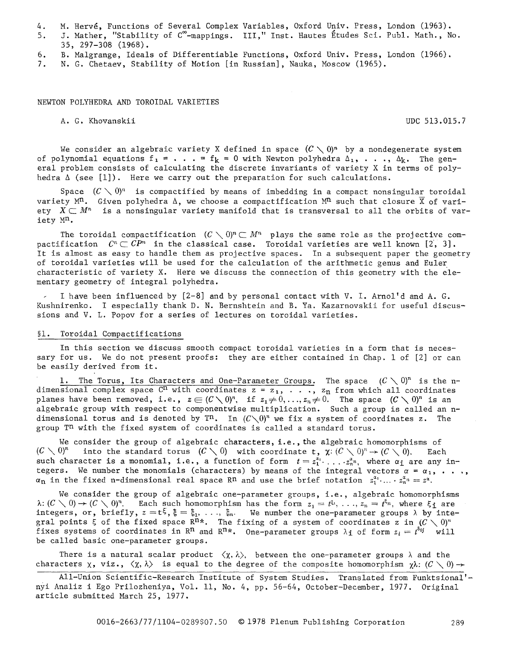. M. Hervé, Functions of Several Complex Variables, Oxford Univ. Press, London (1963).

5. J. Mather, "Stability of C<sup>oo</sup>-mappings. III," Inst. Hautes Etudes Sci. Publ. Math., No. 35, 297-308 (1968).

6~ B. Malgrange, Ideals of Differentiable Functions, Oxford Univ. Press, London (1966).

7. N. G. Chetaev, Stability of Motion [in Russian], Nauka, Moscow (1965).

NEWTON POLYHEDRA AND TOROIDAL VARIETIES

A. G. Khovanskii UDC 513.015.7

We consider an algebraic variety X defined in space  $(C \setminus 0)^n$  by a nondegenerate system of polynomial equations  $f_1 = \ldots = f_k = 0$  with Newton polyhedra  $\Delta_1, \ldots, \Delta_k$ . The general problem consists of calculating the discrete invariants of variety X in terms of polyhedra  $\Delta$  (see [1]). Here we carry out the preparation for such calculations.

Space  $(C\searrow 0)^n$  is compactified by means of imbedding in a compact nonsingular toroidal variety M<sup>n</sup>. Given polyhedra  $\Delta$ , we choose a compactification M<sup>n</sup> such that closure  $\overline{X}$  of variety  $X\subset M^n$  is a nonsingular variety manifold that is transversal to all the orbits of variety  $M^n$ .

The toroidal compactification  $(C \setminus 0)^n \subset M^n$  plays the same role as the projective compactification  $~C^n\subset CP^n$  in the classical case. Toroidal varieties are well known [2, 3]. It is almost as easy to handle them as projective spaces. In a subsequent paper the geometry of toroidal varieties will be used for the calculation of the arithmetic genus and Euler characteristic of variety X. Here we discuss the connection of this geometry with the elementary geometry of integral polyhedra.

I have been influenced by [2-8] and by personal contact with V. I. Arnol'd and A. G. Kushnirenko. I especially thank D. N. Bernshtein and B. Ya. Kazarnovskii for useful discussions and V. L. popov for a series of lectures on toroidal varieties.

## §i. Toroidal Compactifications

In this section we discuss smooth compact toroidal varieties in a form that is necessary for us. We do not present proofs: they are either contained in Chap. 1 of [2] or can be easily derived from it.

The Torus, Its Characters and One-Parameter Groups. The space  $(C \setminus 0)^n$  is the ndimensional complex space  $\mathbb{C}^n$  with coordinates  $z = z_1, \ldots, z_n$  from which all coordinates planes have been removed, i.e.,  $z \in (C \setminus 0)^n$ , if  $z_1 \neq 0, \ldots, z_n \neq 0$ . The space  $(C \setminus 0)^n$  is an algebraic group with respect to componentwise multiplication. Such a group is called an ndimensional torus and is denoted by  $T^n$ . In  $(C\setminus 0)^n$  we fix a system of coordinates z. The group  $T<sup>n</sup>$  with the fixed system of coordinates is called a standard torus.

We consider the group of algebraic characters, i.e., the algebraic homomorphisms of  $(C \setminus 0)^n$  into the standard torus  $(C \setminus 0)$  with coordinate t,  $\chi: (C \setminus 0)^n \to (C \setminus 0)$ . Each such character is a monomial, i.e., a function of form  $~t = z_1^{u_1}.\,\ldots.z_n^{u_n},$  where  $\alpha_1$  are any integers. We number the monomials (characters) by means of the integral vectors  $\alpha$  =  $\alpha_1$ , .  $\alpha_{\rm n}$  in the fixed n-dimensional real space Rn and use the brief notation  $z_1^{a_1} \dots z_n^{a_n} = z^{\alpha}$ .

We consider the group of algebraic one-parameter groups, i.e., algebraic homomorphisms  $\lambda: (C\setminus 0) \to (C\setminus 0)^n$ . Each such homomorphism has the form  $z_1 = t^{\xi_1}, \ldots, z_n = t^{\xi_n}$ , where  $\xi_1$  are integers, or, briefly,  $z = t^{\xi}, \xi = \xi_1, \ldots, \xi_n$ . We number the one-parameter groups  $\lambda$  by integral points  $\xi$  of the fixed space  $R^{n*}$ . The fixing of a system of coordinates z in  $(C \setminus 0)^n$ fixes systems of coordinates in R<sup>n</sup> and R<sup>n</sup>\*. One-parameter groups  $\lambda_1$  of form  $z_i = t^{\delta_{ij}}$  will be called basic one-parameter groups.

There is a natural scalar product  $\langle \chi, \lambda \rangle$ , between the one-parameter groups  $\lambda$  and the characters  $\chi$ , viz.,  $\langle \chi, \lambda \rangle$  is equal to the degree of the composite homomorphism  $\chi \lambda$ :  $(C \setminus 0) \rightarrow$ 

All-Union Scientific-Research Institute of System Studies. Translated from Funktsional' nyi Analiz i Ego Prilozheniya, Vol. ii, No. 4, pp. 56-64, October-December, 1977. Original article submitted March 25, 1977.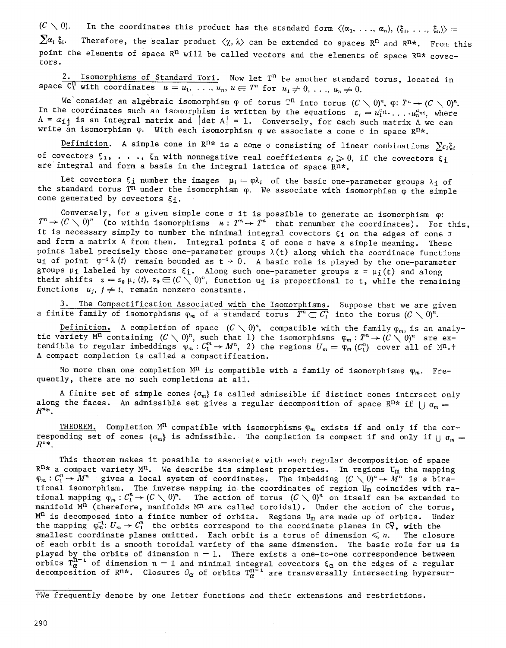$(C \searrow 0)$ . In the coordinates this product has the standard form  $\langle(\alpha_1, \ldots, \alpha_n), (\xi_1, \ldots, \xi_n)\rangle =$  $\sum a_i \xi_i$ . Therefore, the scalar product  $\langle \chi, \lambda \rangle$  can be extended to spaces R<sup>n</sup> and R<sup>n\*</sup>. From this point the elements of space  $R^n$  will be called vectors and the elements of space  $R^n*$  covectors.

2. Isomorphisms of Standard Tori. Now let  $T^n$  be another standard torus, located in space  $\overline{C_1^n}$  with coordinates  $u = u_1, \ldots, u_n, u \in T^n$  for  $u_1 \neq 0, \ldots, u_n \neq 0$ .

We consider an algebraic isomorphism  $\phi$  of torus T<sup>n</sup> into torus  $(C\,\smallsetminus\,0)^n$ .  $\phi\colon\thinspace T^n\to (C\,\smallsetminus\,0)^n$ . In the coordinates such an isomorphism is written by the equations  $z_i = u_1^{a_{1i}} \cdots u_n^{a_{ni}}$ , where  $A = \alpha_{ij}$  is an integral matrix and  $|\det A| = 1$ . Conversely, for each such matrix A we can write an isomorphism  $\varphi$ . With each isomorphism  $\varphi$  we associate a cone  $\sigma$  in space  $\mathbb{R}^n$ \*.

Definition. A simple cone in R<sup>n\*</sup> is a cone  $\sigma$  consisting of linear combinations  $\sum c_i \xi_i$ of covectors  $\xi_1, \ldots, \xi_n$  with nonnegative real coefficients  $c_i \geq 0$ , if the covectors  $\xi_1$ are integral and form a basis in the integral lattice of space Rn\*.

Let covectors  $\xi$ <sup>i</sup> number the images  $\mu_i = \varphi \lambda_i$  of the basic one-parameter groups  $\lambda_i$  of the standard torus T<sup>n</sup> under the isomorphism  $\varphi$ . We associate with isomorphism  $\varphi$  the simple cone generated by covectors  $\xi_1$ .

Conversely, for a given simple cone  $\sigma$  it is possible to generate an isomorphism  $\varphi$ :  $T^n\to (C\,\setminus\,0)^n$  (to within isomorphisms  $\kappa$ :  $T^n\to T^n$  that renumber the coordinates). For this, it is necessary simply to number the minimal integral covectors  $\xi_1$  on the edges of cone  $\sigma$ and form a matrix A from them. Integral points  $\xi$  of cone  $\sigma$  have a simple meaning. These points label precisely those one-parameter groups  $\lambda(t)$  along which the coordinate functions ui of point  $\varphi^{-1} \lambda(t)$  remain bounded as  $t \to 0$ . A basic role is played by the one-parameter groups  $\mu_i$  labeled by covectors  $\xi_i$ . Along such one-parameter groups  $z = \mu_i(t)$  and along their shifts  $z = z_0 \mu_i(t)$ ,  $z_0 \in (C \setminus 0)^n$ , function  $u_i$  is proportional to t, while the remaining functions  $u_j$ ,  $j \neq i$ , remain nonzero constants.

3. The Compactification Associated with the Isomorphisms. Suppose that we are given a finite family of isomorphisms  $\varphi_m$  of a standard torus  $T^n \subset \overline{C_1^n}$  into the torus  $(C \setminus 0)^n$ .

Definition. A completion of space  $(C \setminus 0)^n$ , compatible with the family  $\varphi_m$ , is an analytic variety M" containing  $(C \searrow 0)^n$ , such that 1) the isomorphisms  $\varphi_m : T^n \to (C \searrow 0)^n$  are extendible to regular imbeddings  $\phi_m : C_1^{\sim} \to M^n,$  2) the regions  $U_m = \phi_m(C_1^{\prime\prime})$  cover all of M<sup>n</sup>.† A compact completion is called a compactification.

No more than one completion  $M<sup>n</sup>$  is compatible with a family of isomorphisms  $\varphi_m$ . Frequently, there are no such completions at all.

A finite set of simple cones  $\{\sigma_m\}$  is called admissible if distinct cones intersect only along the faces. An admissible set gives a regular decomposition of space R<sup>n\*</sup> if  $|| \sigma_m =$  $R^{n*}$ .

THEOREM. Completion  $M<sup>n</sup>$  compatible with isomorphisms  $\varphi_m$  exists if and only if the corresponding set of cones  $\{\sigma_m\}$  is admissible. The completion is compact if and only if  $\|\sigma_m =$  $R^{n*}$ .

This theorem makes it possible to associate with each regular decomposition of space  $R^{n*}$  a compact variety  $M^n$ . We describe its simplest properties. In regions  $U_m$  the mapping  $\varphi_m : C_1^n \to M^n$  gives a local system of coordinates. The imbedding  $(C \setminus 0)^n \to M^n$  is a birational isomorphism. The inverse mapping in the coordinates of region  $\texttt{U}_\texttt{m}$  coincides with rational mapping  $\phi_m : C_1 \to (C \,\setminus\, 0)$  . The action of torus  $(C \,\setminus\, 0)^n$  on itself can be extended to manifold  $M<sup>n</sup>$  (therefore, manifolds  $M<sup>n</sup>$  are called toroidal). Under the action of the torus,  $M<sup>n</sup>$  is decomposed into a finite number of orbits. Regions U<sub>m</sub> are made up of orbits. Under the mapping  $\varphi_m^{-1}: U_m \to C_1^n$  the orbits correspond to the coordinate planes in  $C_1^n$ , with the smallest coordinate planes omitted. Each orbit is a torus of dimension  $\leqslant n$ . The closure of each orbit is a smooth toroidal variety of the same dimension. The basic role for us is played by the orbits of dimension  $\mathsf{n}-1$ . There exists a one-to-one correspondence between orbits  $T^{n-1}_\alpha$  of dimension n  $-$  1 and minimal integral covectors  $\xi_\alpha$  on the edges of a regular decomposition of Rn\*. Closures  $O_{\pmb{\alpha}}$  of orbits  $\Gamma^{{\bf n}^-}_\sigma$  are transversally intersecting hypersur-

#We frequently denote by one letter functions and their extensions and restrictions.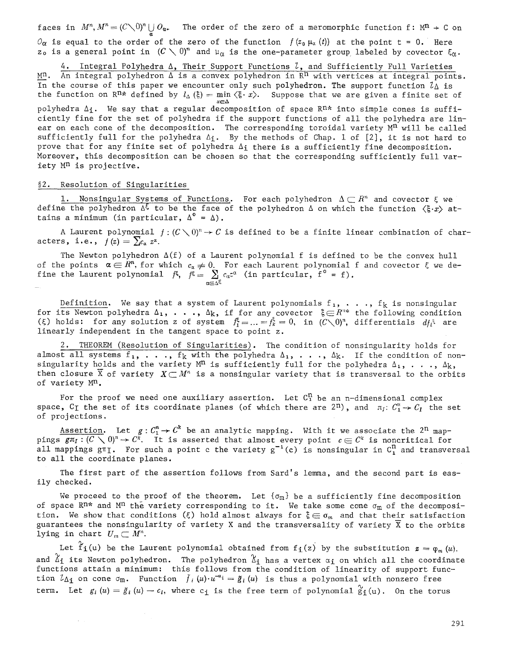faces in  $M^n$ ,  $M^n = (C\setminus 0)^n \cup_{\alpha^*} O_{\alpha^*}$  The order of the zero of a meromorphic function f:  $M^n \to C$  on  $O_{\alpha}$  is equal to the order of the zero of the function  $f(z_0 \mu_\alpha(t))$  at the point t = 0. Here  $z_0$  is a general point in  $(C\setminus 0)^n$  and  $\mu_\alpha$  is the one-parameter group labeled by covector  $\xi_\alpha$ .

4. Integral Polyhedra  $\Delta$ , Their Support Functions  $\lambda$ , and Sufficiently Full Varieties  $M<sup>n</sup>$ . An integral polyhedron  $\Delta$  is a convex polyhedron in  $R<sup>n</sup>$  with vertices at integral points. In the course of this paper we encounter only such polyhedron. The support function  $l \wedge$  is the function on R<sup>n\*</sup> defined by  $l_{\Delta}(\xi) = \min \langle \xi \cdot x \rangle$ . Suppose that we are given a finite set of  $x \in \Delta$ 

polyhedra  $\Delta_i$ . We say that a regular decomposition of space R<sup>n\*</sup> into simple cones is sufficiently fine for the set of polyhedra if the support functions of all the polyhedra are linear on each cone of the decomposition. The corresponding toroidal variety  $M<sup>n</sup>$  will be called sufficiently full for the polyhedra  $\Delta_1$ . By the methods of Chap. 1 of [2], it is not hard to prove that for any finite set of polyhedra  $\Delta_i$  there is a sufficiently fine decomposition. Moreover, this decomposition can be chosen so that the corresponding sufficiently full variety Mn is projective.

### §2. Resolution of Singularities

 $\mathbf{u} = \mathbf{a}^*$ 

 $\bar{z}$ 

1. Nonsingular Systems of Functions. For each polyhedron  $\Delta\subset R^n$  and covector  $\xi$  we define the polyhedron  $\Delta^{\xi}$  to be the face of the polyhedron  $\Delta$  on which the function  $\langle \xi \cdot x \rangle$  attains a minimum (in particular,  $\Delta^0 = \Delta$ ).

A Laurent polynomial  $f:(C\setminus 0)^n\to C$  is defined to be a finite linear combination of characters, i.e.,  $f(z) = \sum_{\alpha} z^{\alpha}$ .

The Newton polyhedron  $\Delta(f)$  of a Laurent polynomial f is defined to be the convex hull of the points  $~\alpha\in$   $K$ ", for which  $c_{\alpha}\neq 0.$  For each Laurent polynomial f and covector  $\xi$  we define the Laurent polynomial  $~f^{\xi},~~f^{\xi} = ~ \sum_{}^{} c_a^{} \tau^a$  (in particular, f $\zeta_{}^{} = ~ f$ ).

Definition. We say that a system of Laurent polynomials  $f_1, \ldots, f_k$  is nonsingular for its Newton polyhedra  $\Delta_1$ , ...,  $\Delta_k$ , if for any covector  $\xi \in R^{n*}$  the following condition (5) holds: for any solution z of system  $f_1^{\xi} = ... = f_k^{\xi} = 0$ , in  $(C \setminus 0)^n$ , differentials  $df_i^{\xi}$  are linearly independent in the tangent space to point z.

THEOREM (Resolution of Singularities). The condition of nonsingularity holds for almost all systems f<sub>1</sub>, ..., f<sub>k</sub> with the polyhedra  $\Delta_1$ , ...,  $\Delta_k$ . If the condition of nonsingularity holds and the variety  $M<sup>n</sup>$  is sufficiently full for the polyhedra  $\Delta_1$ , ...,  $\Delta_k$ , then closure  $\overline{X}$  of variety  $X\subset M^n$  is a nonsingular variety that is transversal to the orbits of variety  $M^n$ .

For the proof we need one auxiliary assertion. Let  $C_1^n$  be an n-dimensional complex space, C<sub>I</sub> the set of its coordinate planes (of which there are  $2^n$ ), and  $\pi_I: C^n_I \to C_I$  the set of projections.

 $\texttt{Association.}\quad \texttt{Let} \quad g: C_1^\circ \to C^\circ \quad \texttt{be an analytic mapping.} \quad \texttt{With it we associate the } 2^\texttt{ii}$  mappings  $g\pi_I: (C \searrow 0)^n \to C^n.$  It is asserted that almost every point  $c \in C^\pi$  is noncritical for all mappings g $\texttt{T}_1$ . For such a point c the variety g  $^{\star}$ (c) is nonsingular in C $^{\star}_\texttt{+}$  and transversal to all the coordinate planes.

The first part of the assertion follows from Sard's lemma, and the second part is easily checked.

We proceed to the proof of the theorem. Let  $\{\sigma_m\}$  be a sufficiently fine decomposition of space Rn\* and M<sup>n</sup> the variety corresponding to it. We take some cone  $\sigma_m$  of the decomposition. We show that conditions ( $\xi$ ) hold almost always for  $\xi \in \sigma_m$  and that their satisfaction guarantees the nonsingularity of variety X and the transversality of variety  $\overline{X}$  to the orbits lying in chart  $U_m \subset M^n$ .

Let  $\hat{f}_i(u)$  be the Laurent polynomial obtained from  $f_i(z)$  by the substitution  $z = \varphi_m(u)$ . and  $\alpha_1$  its Newton polyhedron. The polyhedron  $\alpha_1$  has a vertex  $\alpha_1$  on which all the coordinate functions attain a minimum: this follows from the condition of linearity of support function  $l_{\Delta_1}$  on cone  $\sigma_m$ . Function  $\bar{f}_i(u)\cdot u^{-a_i} = \tilde{g}_i(u)$  is thus a polynomial with nonzero free term. Let  $g_i(u) = \tilde{g}_i(u) - c_i$ , where  $c_i$  is the free term of polynomial  $g_i(u)$ . On the torus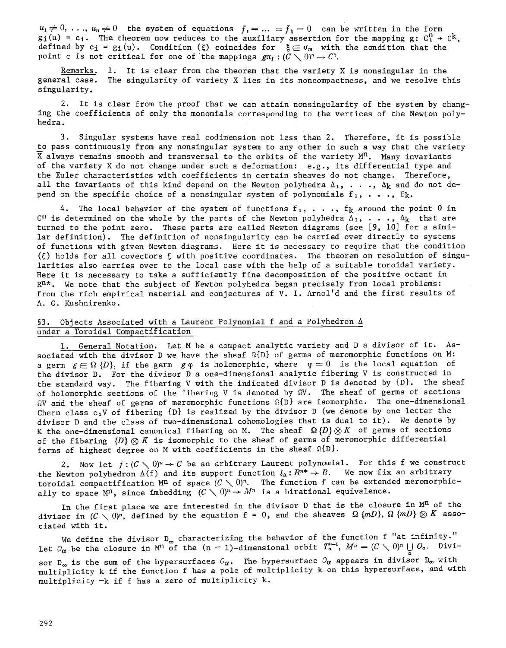$u_1 \neq 0, \ldots, u_n \neq 0$  the system of equations  $f_1 = \ldots = f_k = 0$  can be written in the form gi(u) = c $\cdot$ . The theorem now reduces to the auxiliary assertion for the mapping g: C $^{\prime\prime}$   $\rightarrow$  C $^{\prime\prime}$ , defined by ci = gi(u). Condition (ξ) coincides for  $\mathbf{x} \in \sigma_m$  with the condition that the point c is not critical for one of the mappings  $gr_H : (C \setminus 0)^n \to C^k$ .

Remarks. I. It is clear from the theorem that the variety X is nonsingular in the general case. The singularity of variety X lies in its noncompactness, and we resolve this singularity.

2. It is clear from the proof that we can attain nonsingularity of the system by changing the coefficients of only the monomials corresponding to the vertices of the Newton polyhedra.

3. Singular systems have real codimension not less than 2. Therefore, it is possible to pass continuously from any nonsingular system to any other in such a way that the variety  $\overline{X}$  always remains smooth and transversal to the orbits of the variety  $M^n$ . Many invariants of the variety X do not change under such a deformation: e.g., its differential type and the Euler characteristics with coefficients in certain sheaves do not change. Therefore, all the invariants of this kind depend on the Newton polyhedra  $\Delta_1$ , ...,  $\Delta_k$  and do not depend on the specific choice of a nonsingular system of polynomials  $f_1, \ldots, f_k$ .

4. The local behavior of the system of functions  $f_1, \ldots, f_k$  around the point 0 in  $C<sup>n</sup>$  is determined on the whole by the parts of the Newton polyhedra  $\Delta_1$ , ...,  $\Delta_k$  that are turned to the point zero. These parts are called Newton diagrams (see [9, 10] for a similar definition). The definition of nonsingularity can be carried over directly to systems of functions with given Newton diagrams. Here it is necessary to require that the condition  $(5)$  holds for all covectors  $\xi$  with positive coordinates. The theorem on resolution of singularities also carries over to the local case with the help of a suitable toroidal variety. Here it is necessary to take a sufficiently fine decomposition of the positive octant in  $R^{n*}$ . We note that the subject of Newton polyhedra began precisely from local problems: from the rich empirical material and conjectures of V. I. Arnol'd and the first results of A. G. Kushnirenko.

# §3. Objects Associated with a Laurent Polynomial f and a Polyhedron  $\Delta$ under a Toroidal Compactification

1. General Notation. Let M be a compact analytic variety and D a divisor of it. Associated with the divisor D we have the sheaf  $\Omega\{D\}$  of germs of meromorphic functions on M: a germ  $g\in\Omega$   $\{D\}$ , if the germ g $\varphi$  is holomorphic, where  $\varphi = 0$  is the local equation of the divisor D. For the divisor D a one-dimensional analytic fibering V is constructed in the standard way. The fibering V with the indicated divisor D is denoted by {D}. The sheaf of holomorphic sections of the fibering V is denoted by  $W$ . The sheaf of germs of sections  $N$  and the sheaf of germs of meromorphic functions  $\Omega\{D\}$  are isomorphic. The one-dimensional Chern class  $c_1V$  of fibering  $\{D\}$  is realized by the divisor D (we denote by one letter the divisor D and the class of two-dimensional cohomologies that is dual to it). We denote by K the one-dimensional canonical fibering on M. The sheaf  $~\Omega~\{D\} \otimes K\;$  of germs of sections of the fibering  ${D}$   $\otimes$   $K$  is isomorphic to the sheaf of germs of meromorphic differential forms of highest degree on M with coefficients in the sheaf  $\Omega\{D\}$ .

2. Now let  $f:(C \setminus 0)^n \to C$  be an arbitrary Laurent polynomial. For this f we construct the Newton polyhedron  $\Delta(f)$  and its support function  $l_{\Delta}: R^{n*} \to R$ . We now fix an arbitrary toroidal compactification M<sup>n</sup> of space  $(C\diagdown 0)^n$ . The function f can be extended meromorphically to space  $M^n$ , since imbedding  $(C\diagdown 0)^n\rightarrow M^n$  is a birational equivalence.

In the first place we are interested in the divisor D that is the closure in  $M^n$  of the divisor in  $(C \setminus 0)^n$ , defined by the equation f = 0, and the sheaves  $\Omega$  { $mD$ },  $\Omega$  { $mD$ }  $\otimes$  K associated with it.

We define the divisor  $D_{\infty}$  characterizing the behavior of the function f "at infinity." Let  $O_{\pmb{\alpha}}$  be the closure in M<sup>n</sup> of the (n - 1)-dimensional orbit  $T^*_\pmb{\alpha}$  ,  $M^n=(C\diagdown\bigcup_\alpha U^a\bigcup_\alpha O_\pmb{\alpha}.$  Divisor  $D_{\infty}$  is the sum of the hypersurfaces  $O_{\pmb{\alpha}}$ . The hypersurface  $O_{\pmb{\alpha}}$  appears in divisor  $D_{\pmb{\omega}}$  with multiplicity k if the function f has a pole of multiplicity k on this hypersurface, and with multiplicity -k if f has a zero of multiplicity k.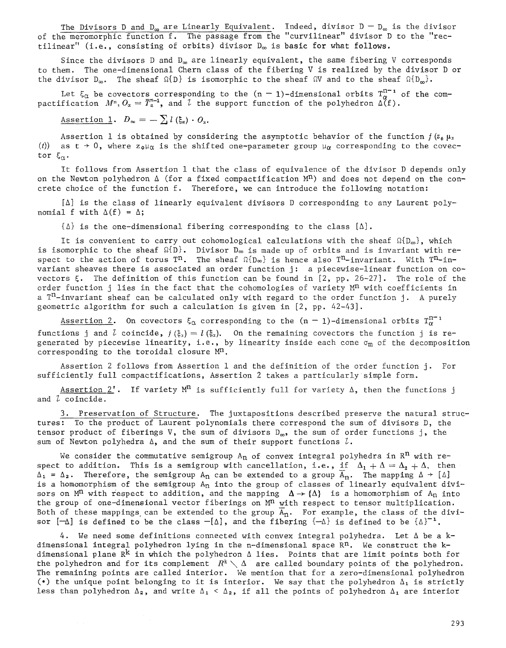The Divisors D and D $_{\infty}$  are Linearly Equivalent. Indeed, divisor D  $-$  D $_{\infty}$  is the divisor of the meromorphic function  ${\sf t}$ . The passage from the "curvilinear" divisor D to the "rectilinear" (i.e., consisting of orbits) divisor  $D_{\infty}$  is basic for what follows.

Since the divisors D and  $D_{\infty}$  are linearly equivalent, the same fibering V corresponds to them. The one-dimensional Chern class of the fibering V is realized by the divisor D or the divisor  $D_{\infty}$ . The sheaf  $\Omega\{D\}$  is isomorphic to the sheaf  $\Omega V$  and to the sheaf  $\Omega\{D_{\infty}\}$ .

Let  $\xi_\alpha$  be covectors corresponding to the (n  $-$  l)–dimensional orbits T $^+_n$   $^+$  of the compactification  $~M^n,~O_\alpha~=~T_\alpha^{n-1},~$  and  $~\iota~$  the support function of the polyhedron  $\Delta({\tt t})$ .

Assertion 1.  $D_{\infty} = - \sum_{i} l(k_{\alpha}) \cdot O_{\alpha}$ .

Assertion 1 is obtained by considering the asymptotic behavior of the function  $f(z_0) \mu_x$ (t) as  $t \to 0$ , where  $z_0 \mu_\alpha$  is the shifted one-parameter group  $\mu_\alpha$  corresponding to the covector  $\xi_{\alpha}$ .

It follows from Assertion 1 that the class of equivalence of the divisor D depends only on the Newton polyhedron  $\Delta$  (for a fixed compactification M<sup>n</sup>) and does not depend on the concrete choice of the function f. Therefore, we can introduce the following notation:

 $[\Delta]$  is the class of linearly equivalent divisors D corresponding to any Laurent polynomial f with  $\Delta(f) = \Delta$ ;

 $\{\Delta\}$  is the one-dimensional fibering corresponding to the class  $[\Delta]$ .

It is convenient to carry out cohomological calculations with the sheaf  $\Omega(D_{\infty})$ , which is isomorphic to the sheaf  $^{^{_{\hspace{.2mm}U\hspace{-.1mm}U\hspace{-.1mm}U\hspace{-.1mm}I\hspace{-.1mm}I\hspace{-.1mm}I\hspace{-.1mm}I}}$  . Divisor D $_{\infty}$  is made up of orbits and is invariant with respect to the action of torus T<sup>n</sup>. The sheaf  $\Omega(\mathbb{D}_{\infty})$  is hence also T<sup>n</sup>-invariant. With T<sup>n</sup>-invariant sheaves there is associated an order function j: a piecewise-linear function on covectors  $\xi$ . The definition of this function can be found in  $[2, pp. 26-27]$ . The role of the order function j lies in the fact that the cohomologies of variety  $M<sup>n</sup>$  with coefficients in a  $T<sup>n</sup>$ -invariant sheaf can be calculated only with regard to the order function j. A purely geometric algorithm for such a calculation is given in [2, pp. 42-43].

Assertion 2. On covectors  $\xi_{\alpha}$  corresponding to the  $(n - 1)$ -dimensional orbits  $T_{\alpha}^{n-1}$ functions j and  $\ell$  coincide,  $j(\xi_x) = l(\xi_x)$ . On the remaining covectors the function j is regenerated by piecewise linearity, i.e., by linearity inside each cone  $\sigma_m$  of the decomposition corresponding to the toroidal closure  $M^n$ .

Assertion 2 follows from Assertion 1 and the definition of the order function j. For sufficiently full compactifications, Assertion 2 takes a particularly simple form.

Assertion 2'. If variety  $M<sup>n</sup>$  is sufficiently full for variety  $\Delta$ , then the functions j and  $\ell$  coincide.

3. Preservation of Structure. The juxtapositions described preserve the natural structures: To the product of Laurent polynomials there correspond the sum of divisors D, the tensor product of fiberings V, the sum of divisors  $D_{\infty}$ , the sum of order functions j, the sum of Newton polyhedra  $\Delta$ , and the sum of their support functions  $l$ .

We consider the commutative semigroup  $A_n$  of convex integral polyhedra in  $R^n$  with respect to addition. This is a semigroup with cancellation, i.e., if  $\Delta_1 + \Delta = \Delta_2 + \Delta$ , then  $\Delta_1 = \Delta_2$ . Therefore, the semigroup  $A_n$  can be extended to a group  $\overline{A}_n$ . The mapping  $\Delta \rightarrow [\Delta]$ is a homomorphism of the semigroup  $A_n$  into the group of classes of linearly equivalent divisors on M<sup>n</sup> with respect to addition, and the mapping  $\Delta \rightarrow \{\Delta\}$  is a homomorphism of A<sub>n</sub> into the group of one-dimensional vector fiberings on  $M<sup>n</sup>$  with respect to tensor multiplication. Both of these mappings can be extended to the group  $\widetilde{A}_n$ . For example, the class of the divisor  $[-\Delta]$  is defined to be the class  $-[\Delta]$ , and the fibering  $\{-\Delta\}$  is defined to be  $\{\Delta\}^{-1}$ .

4. We need some definitions connected with convex integral polyhedra. Let  $\Delta$  be a kdimensional integral polyhedron lying in the n-dimensional space  $\mathbb{R}^n$ . We construct the kdimensional plane  $R^k$  in which the polyhedron  $\Delta$  lies. Points that are limit points both for the polyhedron and for its complement  $~R^k \searrow \Delta~$  are called boundary points of the polyhedron. The remaining points are called interior. We mention that for a zero-dimensional polyhedron (.) the unique point belonging to it is interior. We say that the polyhedron  $\Delta_1$  is strictly less than polyhedron  $\Delta_2$ , and write  $\Delta_1~<~\Delta_2$ , if all the points of polyhedron  $\Delta_1$  are interior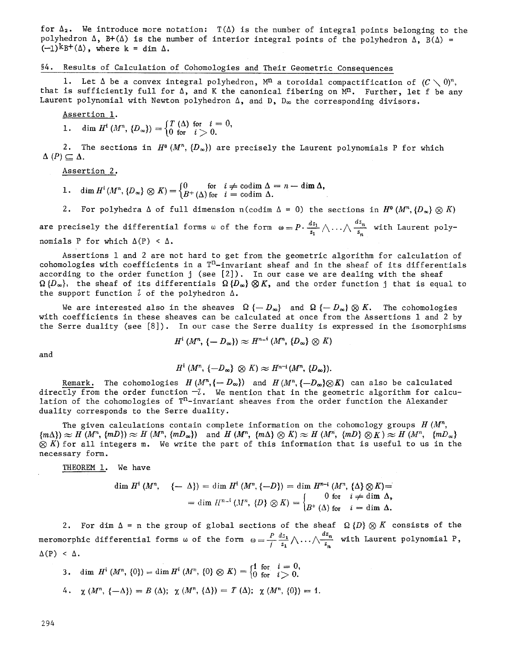for  $\Delta_2$ . We introduce more notation:  $T(\Delta)$  is the number of integral points belonging to the polyhedron  $\Delta$ , B+( $\Delta$ ) is the number of interior integral points of the polyhedron  $\Delta$ , B( $\Delta$ ) =  $(-1)^k B^+(\Delta)$ , where  $k = \dim \Delta$ .

### §4. Results of Calculation of Cohomologies and Their Geometric Consequences

1. Let  $\Delta$  be a convex integral polyhedron,  $M^n$  a toroidal compactification of  $(C\setminus 0)^n$ . that is sufficiently full for  $\Delta$ , and K the canonical fibering on  $M^n$ . Further, let f be any Laurent polynomial with Newton polyhedron  $\Delta$ , and D,  $D_{\infty}$  the corresponding divisors.

Assertion 1.

1. dim  $H^{i}(M^{n}, {D_{\infty}}) = \begin{cases} T(\Delta) & \text{for } i = 0, \\ 0 & \text{for } i > 0. \end{cases}$ 

2. The sections in  $H^0(M^n, {D_\infty})$  are precisely the Laurent polynomials P for which  $\Delta$  (P)  $\subseteq \Delta$ .

Assertion 2.

- 1. dim  $H^i(M^n, {D_\infty} \otimes K) = \begin{cases} 0 & \text{for } i \neq \text{codim } \Delta \\ B^+({\Delta})~\text{for } i = \text{codim } {\Delta}. \end{cases}$
- 2. For polyhedra  $\Delta$  of full dimension n(codim  $\Delta = 0$ ) the sections in  $H^0(M^n,\{D_\infty\}\otimes K)$

are precisely the differential forms  $\omega$  of the form  $\omega=P\cdot \frac{dz_1}{z_1}\wedge\ldots\wedge \frac{dz_n}{z_n}$  with Laurent polynomials P for which  $\Delta(P) < \Delta$ .

Assertions 1 and 2 are not hard to get from the geometric algorithm for calculation of cohomologies with coefficients in a  $T<sup>n</sup>$ -invariant sheaf and in the sheaf of its differentials according to the order function  $j$  (see  $[2]$ ). In our case we are dealing with the sheaf  $\Omega~\{D_{\infty}\},$  the sheaf of its differentials  $\Omega~\{D_{\infty}\}\otimes K$ , and the order function j that is equal to the support function  $\lambda$  of the polyhedron  $\Delta$ .

We are interested also in the sheaves  $\Omega$  { $-D_{\infty}$ } and  $\Omega$  { $-D_{\infty}$ }  $\otimes$  K. The cohomologies with coefficients in these sheaves can be calculated at once from the Assertions 1 and 2 by the Serre duality (see [8]). In our case the Serre duality is expressed in the isomorphisms

$$
H^i(M^n, \{-D_\infty\}) \approx H^{n-i}(M^n, \{D_\infty\} \otimes K)
$$

and

$$
H^i(M^n, \{-D_{\infty}\}\otimes K)\approx H^{n-i}(M^n, \{D_{\infty}\}).
$$

Remark. The cohomologies  $H(M^n, \{-D_\infty\})$  and  $H(M^n, \{-D_\infty\} \otimes K)$  can also be calculated directly from the order function  $-l$ . We mention that in the geometric algorithm for calculation of the cohomologies of  $T<sup>n</sup>$ -invariant sheaves from the order function the Alexander duality corresponds to the Serre duality.

The given calculations contain complete information on the cohomology groups  $H(M^n, \mathcal{L})$  ${m \choose m} \approx H (M^n, \{mD\}) \approx H (M^n, \{mD_{\infty}\})$  and  $H (M^n, \{m \Delta\} \otimes K) \approx H (M^n, \{mD\} \otimes K) \approx H (M^n, \{mD_{\infty}\})$  $\otimes$  K) for all integers m. We write the part of this information that is useful to us in the necessary form.

THEOREM i. We have

$$
\dim H^i\left(M^n, \quad \{-\Delta\}\right) = \dim H^i\left(M^n, \{-D\}\right) = \dim H^{n-i}\left(M^n, \{\Delta\} \otimes K\right) =
$$
\n
$$
= \dim H^{n-i}\left(M^n, \{D\} \otimes K\right) = \begin{cases} 0 & \text{for} \quad i \neq \dim \Delta, \\ B^+\left(\Delta\right) & \text{for} \quad i = \dim \Delta. \end{cases}
$$

2. For dim  $\Delta$  = n the group of global sections of the sheaf  $\ \Omega \ \{D\} \otimes K$  consists of the meromorphic differential forms  $\omega$  of the form  $\omega = \frac{P}{\omega} \frac{dz_1}{z_1} \wedge \dots \wedge \frac{dz_n}{z_n}$  $\Delta(P) < \Delta$ .  $\frac{n}{z_n}$  with Laurent polynomial P,

 $\begin{array}{lll} \texttt{3.} & \text{dim}\;\,H^i\left(M^n,\,\{0\}\right)=\text{dim}\,H^i\left(M^n,\,\{0\}\otimes K\right)=\begin{cases} 1\;\, \text{for} & i=0,\ \text{for} & i>0. \end{cases} \end{array}$ 4.  $\chi(M^{n}, \{-\Delta\}) = B(\Delta); \ \chi(M^{n}, \{\Delta\}) = T(\Delta); \ \chi(M^{n}, \{0\}) = 1.$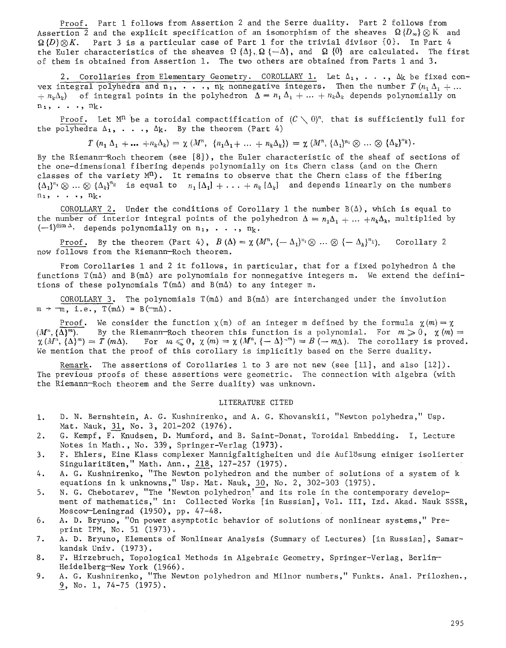Proof. Part 1 follows from Assertion 2 and the Serre duality. Part 2 follows from Assertion 2 and the explicit specification of an isomorphism of the sheaves  $\Omega$  { $D_{\infty}$ }  $\otimes$  K and  $\Omega$ {D} $\otimes$ K. Part 3 is a particular case of Part 1 for the trivial divisor {0}. In Part 4 the Euler characteristics of the sheaves  $\Omega$  { $\Delta$ },  $\Omega$  { $-\Delta$ }, and  $\Omega$  {0} are calculated. The first of them is obtained from Assertion I. The two others are obtained from Parts 1 and 3.

2. Corollaries from Elementary Geometry. COROLLARY 1. Let  $\Delta_1$ , ...,  $\Delta_k$  be fixed convex integral polyhedra and  $n_1, \ldots, n_k$  nonnegative integers. Then the number  $T (n_1 \Delta_1 + \ldots$  $+ n_k \Delta_k$ ) of integral points in the polyhedron  $\Delta = n_1 \Delta_1 + ... + n_k \Delta_k$  depends polynomially on  $n_1, \ldots, n_k$ .

Proof. Let M<sup>n</sup> be a toroidal compactification of  $(C \setminus 0)^n$ , that is sufficiently full for the polyhedra  $\Delta_1, \ldots, \Delta_k$ . By the theorem (Part 4)

 $T~(n_1~\Delta_1~+ \dots~+n_k\Delta_k) = \chi~(M^n,~\{n_1\Delta_1+\dots+n_k\Delta_k\}) = \chi~(M^n,~\{\Delta_1\}^{n_1} \otimes \dots \otimes~\{\Delta_k\}^{n_k}).$ 

By the Riemann-Roch theorem (see [8]), the Euler characteristic of the sheaf of sections of the one-dimensional fibering depends polynomially on its Chern class (and on the Chern classes of the variety  $M^n$ ). It remains to observe that the Chern class of the fibering  $\{\Delta_i\}^{n_i} \otimes ... \otimes \{\Delta_k\}^{n_k}$  is equal to  $n_i$ ,  $[\Delta_i] + ... + n_k [\Delta_k]$  and depends linearly on the numbers  $n_1$ , . . .,  $n_k$ .

COROLLARY 2. Under the conditions of Corollary 1 the number  $B(\Delta)$ , which is equal to the number of interior integral points of the polyhedron  $\Delta = n_1 \Delta_1 + ... + n_k \Delta_k$ , multiplied by  $(-1)^{\dim \Delta}$ , depends polynomially on n<sub>1</sub>, ..., n<sub>k</sub>.

<u>Proof</u>. By the theorem (Part 4),  $B(\Delta) = \chi (M^n, \{-\Delta_1\}^{n_1} \otimes ... \otimes \{-\Delta_k\}^{n_k})$ . Corollary 2 now follows from the Riemann--Roch theorem.

From Corollaries 1 and 2 it follows, in particular, that for a fixed polyhedron  $\Delta$  the functions  $T(m\Delta)$  and  $B(m\Delta)$  are polynomials for nonnegative integers m. We extend the definitions of these polynomials  $T(m\Delta)$  and  $B(m\Delta)$  to any integer m.

COROLLARY 3. The polynomials  $T(m\Delta)$  and  $B(m\Delta)$  are interchanged under the involution  $m \rightarrow -m$ , i.e.,  $T(m\Delta) = B(-m\Delta)$ .

Proof. We consider the function  $\chi(m)$  of an integer m defined by the formula  $\chi(m)=\chi$  $(M^n, {\overline{\{\Lambda\}}^m})$ . By the Riemann-Roch theorem this function is a polynomial. For  $m \geqslant 0$ ,  $\chi(m) =$  $\chi(M^h, {\{\Delta}\}^m) = \tilde{T}(m\Delta).$  For  $m \leq 0$ ,  $\chi(m) = \chi(M^n, {\{-\Delta\}}^{-m}) = B(-m\Delta).$  The corollary is proved. We mention that the proof of this corollary is implicitly based on the Serre duality.

Remark. The assertions of Corollaries 1 to 3 are not new (see  $[11]$ , and also  $[12]$ ). The previous proofs of these assertions were geometric. The connection with algebra (with the Riemann-Roch theorem and the Serre duality) was unknown.

#### LITERATURE CITED

- 1. D. N. Bernshtein, A. G. Kushnirenko, and A. G. Khovanskii, "Newton polyhedra," Usp. Mat. Nauk, 31, No. 3, 201-202 (1976).
- 2. G. Kempf, F. Knudsen, D. Mumford, and B. Saint-Donat, Toroidal Embedding. I, Lecture Notes in Math., No. 339, Springer-Verlag (1973).
- 3. F. Ehlers, Eine Klass complexer Mannigfaltigheiten und die Auflösung einiger isolierter Singularitäten," Math. Ann., 218, 127-257 (1975).
- 4. A.G. Kushnirenko, "The Newton polyhedron and the number of solutions of a system of k equations in k unknowns," Usp. Mat. Nauk, 30, No. 2, 302-303 (1975).
- 5. N. G. Chebotarev, "The 'Newton polyhedron' and its role in the contemporary development of mathematics," in: Collected Works [in Russian], Vol. III, Izd. Akad. Nauk SSSR, Moscow-Leningrad (1950), pp. 47-48.
- 6. A. D. Bryuno, "On power asymptotic behavior of solutions of nonlinear systems," Preprint IPM, No. 51 (1973).
- 7. A.D. Bryuno, Elements of Nonlinear Analysis (Summary of Lectures) [in Russian], Samarkandsk Univ. (1973).
- 8. F. Hirzebruch, Topological Methods in Algebraic Geometry, Springer-Verlag, Berlin-- Heidelberg-New York (1966).
- 9. A.G. Kushnirenko, "The Newton polyhedron and Miinor numbers," Funkts. Anal. Prilozhen., 9, No. 1, 74-75 (1975).